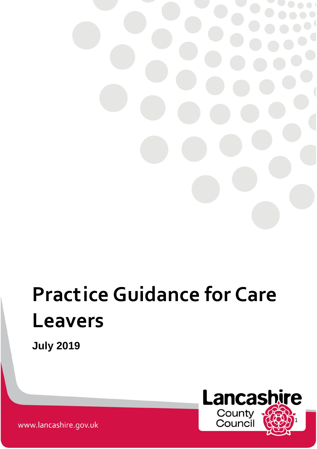# **Practice Guidance for Care Leavers**

**July 2019**



www.lancashire.gov.uk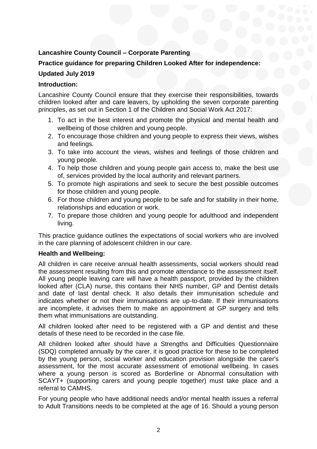# **Lancashire County Council – Corporate Parenting**

# **Practice guidance for preparing Children Looked After for independence:**

## **Updated July 2019**

### **Introduction:**

Lancashire County Council ensure that they exercise their responsibilities, towards children looked after and care leavers, by upholding the seven corporate parenting principles, as set out in Section 1 of the Children and Social Work Act 2017:

- 1. To act in the best interest and promote the physical and mental health and wellbeing of those children and young people.
- 2. To encourage those children and young people to express their views, wishes and feelings.
- 3. To take into account the views, wishes and feelings of those children and young people.
- 4. To help those children and young people gain access to, make the best use of, services provided by the local authority and relevant partners.
- 5. To promote high aspirations and seek to secure the best possible outcomes for those children and young people.
- 6. For those children and young people to be safe and for stability in their home, relationships and education or work.
- 7. To prepare those children and young people for adulthood and independent living.

This practice guidance outlines the expectations of social workers who are involved in the care planning of adolescent children in our care.

#### **Health and Wellbeing:**

All children in care receive annual health assessments, social workers should read the assessment resulting from this and promote attendance to the assessment itself. All young people leaving care will have a health passport, provided by the children looked after (CLA) nurse, this contains their NHS number, GP and Dentist details and date of last dental check. It also details their immunisation schedule and indicates whether or not their immunisations are up-to-date. If their immunisations are incomplete, it advises them to make an appointment at GP surgery and tells them what immunisations are outstanding.

All children looked after need to be registered with a GP and dentist and these details of these need to be recorded in the case file.

All children looked after should have a Strengths and Difficulties Questionnaire (SDQ) completed annually by the carer, it is good practice for these to be completed by the young person, social worker and education provision alongside the carer's assessment, for the most accurate assessment of emotional wellbeing. In cases where a young person is scored as Borderline or Abnormal consultation with SCAYT+ (supporting carers and young people together) must take place and a referral to CAMHS.

For young people who have additional needs and/or mental health issues a referral to Adult Transitions needs to be completed at the age of 16. Should a young person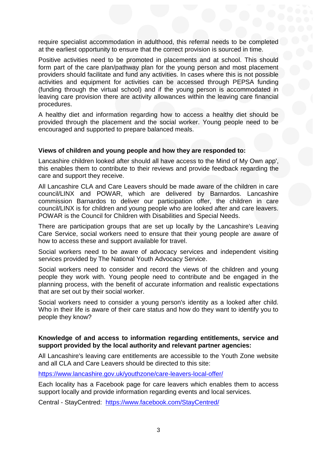require specialist accommodation in adulthood, this referral needs to be completed at the earliest opportunity to ensure that the correct provision is sourced in time.

Positive activities need to be promoted in placements and at school. This should form part of the care plan/pathway plan for the young person and most placement providers should facilitate and fund any activities. In cases where this is not possible activities and equipment for activities can be accessed through PEPSA funding (funding through the virtual school) and if the young person is accommodated in leaving care provision there are activity allowances within the leaving care financial procedures.

A healthy diet and information regarding how to access a healthy diet should be provided through the placement and the social worker. Young people need to be encouraged and supported to prepare balanced meals.

#### **Views of children and young people and how they are responded to:**

Lancashire children looked after should all have access to the Mind of My Own app', this enables them to contribute to their reviews and provide feedback regarding the care and support they receive.

All Lancashire CLA and Care Leavers should be made aware of the children in care council/LINX and POWAR, which are delivered by Barnardos. Lancashire commission Barnardos to deliver our participation offer, the children in care council/LINX is for children and young people who are looked after and care leavers. POWAR is the Council for Children with Disabilities and Special Needs.

There are participation groups that are set up locally by the Lancashire's Leaving Care Service, social workers need to ensure that their young people are aware of how to access these and support available for travel.

Social workers need to be aware of advocacy services and independent visiting services provided by The National Youth Advocacy Service.

Social workers need to consider and record the views of the children and young people they work with. Young people need to contribute and be engaged in the planning process, with the benefit of accurate information and realistic expectations that are set out by their social worker.

Social workers need to consider a young person's identity as a looked after child. Who in their life is aware of their care status and how do they want to identify you to people they know?

#### **Knowledge of and access to information regarding entitlements, service and support provided by the local authority and relevant partner agencies:**

All Lancashire's leaving care entitlements are accessible to the Youth Zone website and all CLA and Care Leavers should be directed to this site:

<https://www.lancashire.gov.uk/youthzone/care-leavers-local-offer/>

Each locality has a Facebook page for care leavers which enables them to access support locally and provide information regarding events and local services.

Central - StayCentred: <https://www.facebook.com/StayCentred/>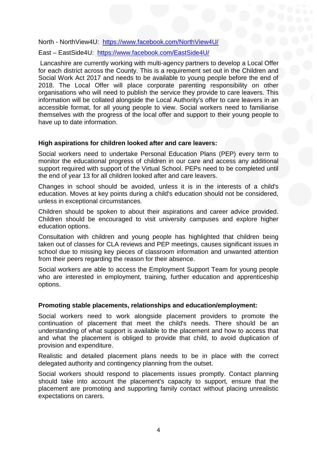North - NorthView4U: <https://www.facebook.com/NorthView4U/>

East – EastSide4U: <https://www.facebook.com/EastSide4U/>

Lancashire are currently working with multi-agency partners to develop a Local Offer for each district across the County. This is a requirement set out in the Children and Social Work Act 2017 and needs to be available to young people before the end of 2018. The Local Offer will place corporate parenting responsibility on other organisations who will need to publish the service they provide to care leavers. This information will be collated alongside the Local Authority's offer to care leavers in an accessible format, for all young people to view. Social workers need to familiarise themselves with the progress of the local offer and support to their young people to have up to date information.

#### **High aspirations for children looked after and care leavers:**

Social workers need to undertake Personal Education Plans (PEP) every term to monitor the educational progress of children in our care and access any additional support required with support of the Virtual School. PEPs need to be completed until the end of year 13 for all children looked after and care leavers.

Changes in school should be avoided, unless it is in the interests of a child's education. Moves at key points during a child's education should not be considered, unless in exceptional circumstances.

Children should be spoken to about their aspirations and career advice provided. Children should be encouraged to visit university campuses and explore higher education options.

Consultation with children and young people has highlighted that children being taken out of classes for CLA reviews and PEP meetings, causes significant issues in school due to missing key pieces of classroom information and unwanted attention from their peers regarding the reason for their absence.

Social workers are able to access the Employment Support Team for young people who are interested in employment, training, further education and apprenticeship options.

#### **Promoting stable placements, relationships and education/employment:**

Social workers need to work alongside placement providers to promote the continuation of placement that meet the child's needs. There should be an understanding of what support is available to the placement and how to access that and what the placement is obliged to provide that child, to avoid duplication of provision and expenditure.

Realistic and detailed placement plans needs to be in place with the correct delegated authority and contingency planning from the outset.

Social workers should respond to placements issues promptly. Contact planning should take into account the placement's capacity to support, ensure that the placement are promoting and supporting family contact without placing unrealistic expectations on carers.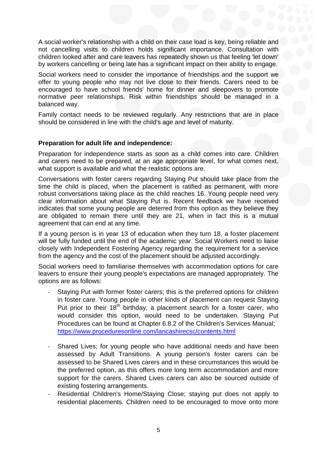A social worker's relationship with a child on their case load is key, being reliable and not cancelling visits to children holds significant importance. Consultation with children looked after and care leavers has repeatedly shown us that feeling 'let down' by workers cancelling or being late has a significant impact on their ability to engage.

Social workers need to consider the importance of friendships and the support we offer to young people who may not live close to their friends. Carers need to be encouraged to have school friends' home for dinner and sleepovers to promote normative peer relationships. Risk within friendships should be managed in a balanced way.

Family contact needs to be reviewed regularly. Any restrictions that are in place should be considered in line with the child's age and level of maturity.

#### **Preparation for adult life and independence:**

Preparation for independence starts as soon as a child comes into care. Children and carers need to be prepared, at an age appropriate level, for what comes next, what support is available and what the realistic options are.

Conversations with foster carers regarding Staying Put should take place from the time the child is placed, when the placement is ratified as permanent, with more robust conversations taking place as the child reaches 16. Young people need very clear information about what Staying Put is. Recent feedback we have received indicates that some young people are deterred from this option as they believe they are obligated to remain there until they are 21, when in fact this is a mutual agreement that can end at any time.

If a young person is in year 13 of education when they turn 18, a foster placement will be fully funded until the end of the academic year. Social Workers need to liaise closely with Independent Fostering Agency regarding the requirement for a service from the agency and the cost of the placement should be adjusted accordingly.

Social workers need to familiarise themselves with accommodation options for care leavers to ensure their young people's expectations are managed appropriately. The options are as follows:

- Staying Put with former foster carers; this is the preferred options for children in foster care. Young people in other kinds of placement can request Staying Put prior to their  $18<sup>th</sup>$  birthday, a placement search for a foster carer, who would consider this option, would need to be undertaken. Staying Put Procedures can be found at Chapter 6.8.2 of the Children's Services Manual; <https://www.proceduresonline.com/lancashirecsc/contents.html>
- Shared Lives; for young people who have additional needs and have been assessed by Adult Transitions. A young person's foster carers can be assessed to be Shared Lives carers and in these circumstances this would be the preferred option, as this offers more long term accommodation and more support for the carers. Shared Lives carers can also be sourced outside of existing fostering arrangements.
- Residential Children's Home/Staying Close; staying put does not apply to residential placements. Children need to be encouraged to move onto more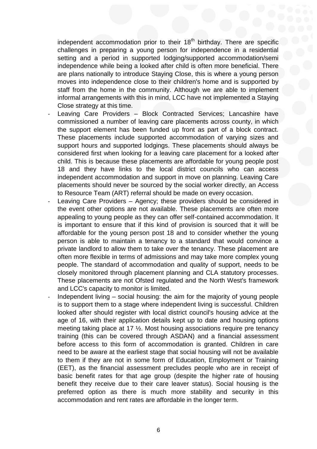independent accommodation prior to their 18<sup>th</sup> birthday. There are specific challenges in preparing a young person for independence in a residential setting and a period in supported lodging/supported accommodation/semi independence while being a looked after child is often more beneficial. There are plans nationally to introduce Staying Close, this is where a young person moves into independence close to their children's home and is supported by staff from the home in the community. Although we are able to implement informal arrangements with this in mind, LCC have not implemented a Staying Close strategy at this time.

- Leaving Care Providers Block Contracted Services; Lancashire have commissioned a number of leaving care placements across county, in which the support element has been funded up front as part of a block contract. These placements include supported accommodation of varying sizes and support hours and supported lodgings. These placements should always be considered first when looking for a leaving care placement for a looked after child. This is because these placements are affordable for young people post 18 and they have links to the local district councils who can access independent accommodation and support in move on planning. Leaving Care placements should never be sourced by the social worker directly, an Access to Resource Team (ART) referral should be made on every occasion.
- Leaving Care Providers Agency; these providers should be considered in the event other options are not available. These placements are often more appealing to young people as they can offer self-contained accommodation. It is important to ensure that if this kind of provision is sourced that it will be affordable for the young person post 18 and to consider whether the young person is able to maintain a tenancy to a standard that would convince a private landlord to allow them to take over the tenancy. These placement are often more flexible in terms of admissions and may take more complex young people. The standard of accommodation and quality of support, needs to be closely monitored through placement planning and CLA statutory processes. These placements are not Ofsted regulated and the North West's framework and LCC's capacity to monitor is limited.
- Independent living social housing: the aim for the majority of young people is to support them to a stage where independent living is successful. Children looked after should register with local district council's housing advice at the age of 16, with their application details kept up to date and housing options meeting taking place at 17 ½. Most housing associations require pre tenancy training (this can be covered through ASDAN) and a financial assessment before access to this form of accommodation is granted. Children in care need to be aware at the earliest stage that social housing will not be available to them if they are not in some form of Education, Employment or Training (EET), as the financial assessment precludes people who are in receipt of basic benefit rates for that age group (despite the higher rate of housing benefit they receive due to their care leaver status). Social housing is the preferred option as there is much more stability and security in this accommodation and rent rates are affordable in the longer term.